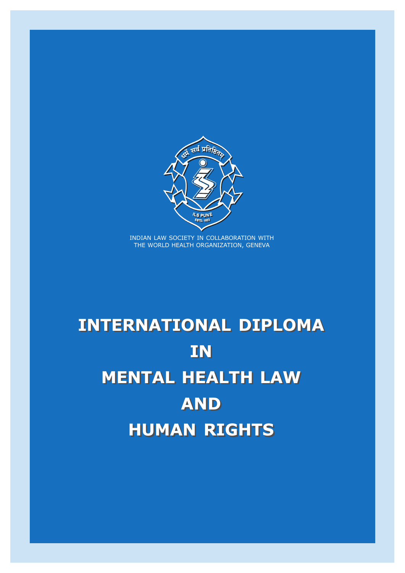

INTERNATIONAL DIPLOMA IN IN MENTAL HEALTH LAW MENTAL HEALTH LAW AND AND HUMAN RIGHTS HUMAN RIGHTS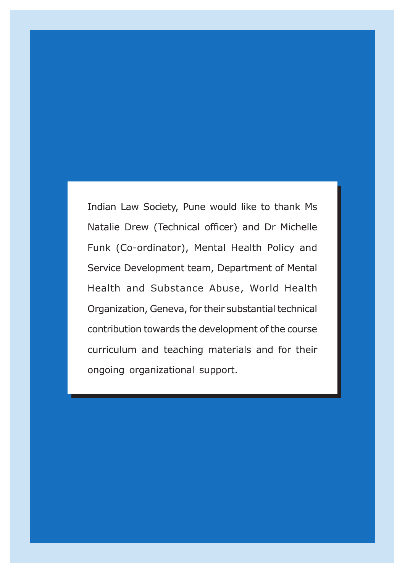Indian Law Society, Pune would like to thank Ms Natalie Drew (Technical officer) and Dr Michelle Funk (Co-ordinator), Mental Health Policy and Service Development team, Department of Mental Health and Substance Abuse, World Health Organization, Geneva, for their substantial technical contribution towards the development of the course curriculum and teaching materials and for their ongoing organizational support.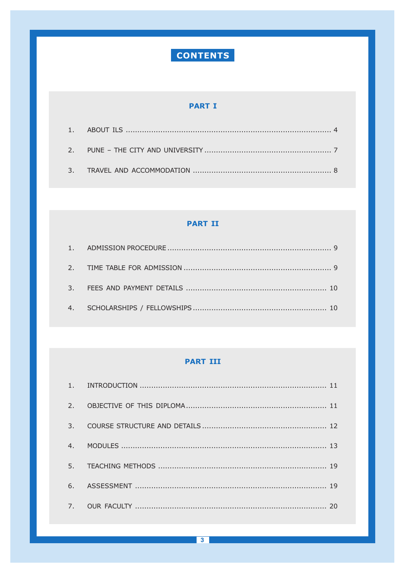# CONTENTS

# **PART I**

# **PART II**

### **PART III**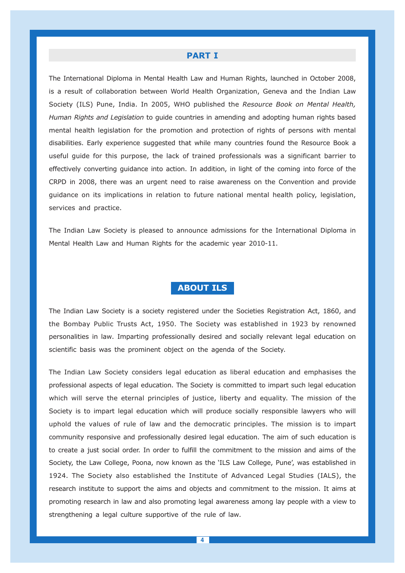#### PART I

The International Diploma in Mental Health Law and Human Rights, launched in October 2008, is a result of collaboration between World Health Organization, Geneva and the Indian Law Society (ILS) Pune, India. In 2005, WHO published the Resource Book on Mental Health, Human Rights and Legislation to quide countries in amending and adopting human rights based mental health legislation for the promotion and protection of rights of persons with mental disabilities. Early experience suggested that while many countries found the Resource Book a useful guide for this purpose, the lack of trained professionals was a significant barrier to effectively converting guidance into action. In addition, in light of the coming into force of the CRPD in 2008, there was an urgent need to raise awareness on the Convention and provide guidance on its implications in relation to future national mental health policy, legislation, services and practice.

The Indian Law Society is pleased to announce admissions for the International Diploma in Mental Health Law and Human Rights for the academic year 2010-11.

### ABOUT ILS

The Indian Law Society is a society registered under the Societies Registration Act, 1860, and the Bombay Public Trusts Act, 1950. The Society was established in 1923 by renowned personalities in law. Imparting professionally desired and socially relevant legal education on scientific basis was the prominent object on the agenda of the Society.

The Indian Law Society considers legal education as liberal education and emphasises the professional aspects of legal education. The Society is committed to impart such legal education which will serve the eternal principles of justice, liberty and equality. The mission of the Society is to impart legal education which will produce socially responsible lawyers who will uphold the values of rule of law and the democratic principles. The mission is to impart community responsive and professionally desired legal education. The aim of such education is to create a just social order. In order to fulfill the commitment to the mission and aims of the Society, the Law College, Poona, now known as the 'ILS Law College, Pune', was established in 1924. The Society also established the Institute of Advanced Legal Studies (IALS), the research institute to support the aims and objects and commitment to the mission. It aims at promoting research in law and also promoting legal awareness among lay people with a view to strengthening a legal culture supportive of the rule of law.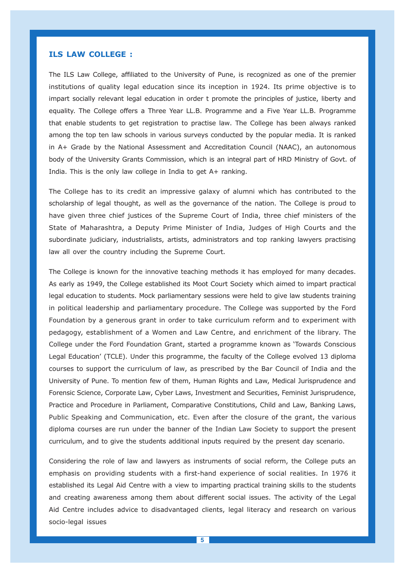#### ILS LAW COLLEGE :

The ILS Law College, affiliated to the University of Pune, is recognized as one of the premier institutions of quality legal education since its inception in 1924. Its prime objective is to impart socially relevant legal education in order t promote the principles of justice, liberty and equality. The College offers a Three Year LL.B. Programme and a Five Year LL.B. Programme that enable students to get registration to practise law. The College has been always ranked among the top ten law schools in various surveys conducted by the popular media. It is ranked in A+ Grade by the National Assessment and Accreditation Council (NAAC), an autonomous body of the University Grants Commission, which is an integral part of HRD Ministry of Govt. of India. This is the only law college in India to get A+ ranking.

The College has to its credit an impressive galaxy of alumni which has contributed to the scholarship of legal thought, as well as the governance of the nation. The College is proud to have given three chief justices of the Supreme Court of India, three chief ministers of the State of Maharashtra, a Deputy Prime Minister of India, Judges of High Courts and the subordinate judiciary, industrialists, artists, administrators and top ranking lawyers practising law all over the country including the Supreme Court.

The College is known for the innovative teaching methods it has employed for many decades. As early as 1949, the College established its Moot Court Society which aimed to impart practical legal education to students. Mock parliamentary sessions were held to give law students training in political leadership and parliamentary procedure. The College was supported by the Ford Foundation by a generous grant in order to take curriculum reform and to experiment with pedagogy, establishment of a Women and Law Centre, and enrichment of the library. The College under the Ford Foundation Grant, started a programme known as 'Towards Conscious Legal Education' (TCLE). Under this programme, the faculty of the College evolved 13 diploma courses to support the curriculum of law, as prescribed by the Bar Council of India and the University of Pune. To mention few of them, Human Rights and Law, Medical Jurisprudence and Forensic Science, Corporate Law, Cyber Laws, Investment and Securities, Feminist Jurisprudence, Practice and Procedure in Parliament, Comparative Constitutions, Child and Law, Banking Laws, Public Speaking and Communication, etc. Even after the closure of the grant, the various diploma courses are run under the banner of the Indian Law Society to support the present curriculum, and to give the students additional inputs required by the present day scenario.

Considering the role of law and lawyers as instruments of social reform, the College puts an emphasis on providing students with a first-hand experience of social realities. In 1976 it established its Legal Aid Centre with a view to imparting practical training skills to the students and creating awareness among them about different social issues. The activity of the Legal Aid Centre includes advice to disadvantaged clients, legal literacy and research on various socio-legal issues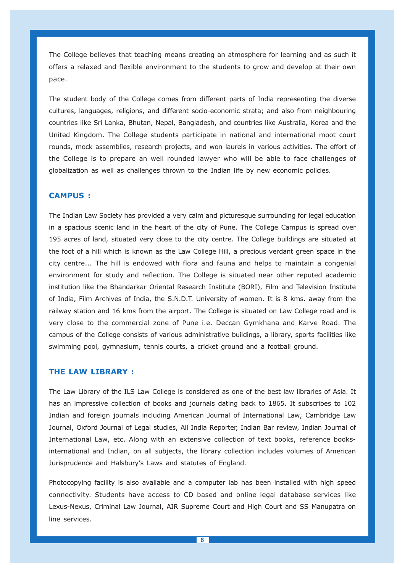The College believes that teaching means creating an atmosphere for learning and as such it offers a relaxed and flexible environment to the students to grow and develop at their own pace.

The student body of the College comes from different parts of India representing the diverse cultures, languages, religions, and different socio-economic strata; and also from neighbouring countries like Sri Lanka, Bhutan, Nepal, Bangladesh, and countries like Australia, Korea and the United Kingdom. The College students participate in national and international moot court rounds, mock assemblies, research projects, and won laurels in various activities. The effort of the College is to prepare an well rounded lawyer who will be able to face challenges of globalization as well as challenges thrown to the Indian life by new economic policies.

### CAMPUS :

The Indian Law Society has provided a very calm and picturesque surrounding for legal education in a spacious scenic land in the heart of the city of Pune. The College Campus is spread over 195 acres of land, situated very close to the city centre. The College buildings are situated at the foot of a hill which is known as the Law College Hill, a precious verdant green space in the city centre... The hill is endowed with flora and fauna and helps to maintain a congenial environment for study and reflection. The College is situated near other reputed academic institution like the Bhandarkar Oriental Research Institute (BORI), Film and Television Institute of India, Film Archives of India, the S.N.D.T. University of women. It is 8 kms. away from the railway station and 16 kms from the airport. The College is situated on Law College road and is very close to the commercial zone of Pune i.e. Deccan Gymkhana and Karve Road. The campus of the College consists of various administrative buildings, a library, sports facilities like swimming pool, gymnasium, tennis courts, a cricket ground and a football ground.

#### THE LAW LIBRARY :

The Law Library of the ILS Law College is considered as one of the best law libraries of Asia. It has an impressive collection of books and journals dating back to 1865. It subscribes to 102 Indian and foreign journals including American Journal of International Law, Cambridge Law Journal, Oxford Journal of Legal studies, All India Reporter, Indian Bar review, Indian Journal of International Law, etc. Along with an extensive collection of text books, reference booksinternational and Indian, on all subjects, the library collection includes volumes of American Jurisprudence and Halsbury's Laws and statutes of England.

Photocopying facility is also available and a computer lab has been installed with high speed connectivity. Students have access to CD based and online legal database services like Lexus-Nexus, Criminal Law Journal, AIR Supreme Court and High Court and SS Manupatra on line services.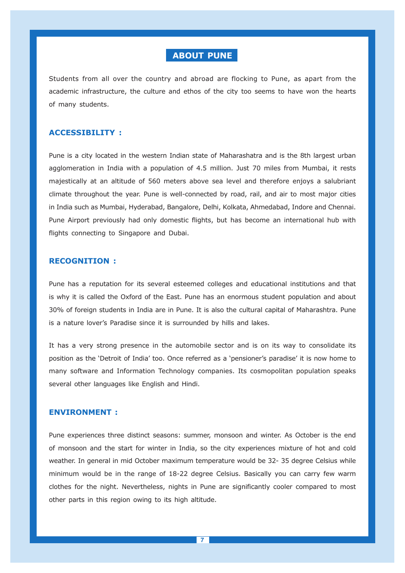# ABOUT PUNE

Students from all over the country and abroad are flocking to Pune, as apart from the academic infrastructure, the culture and ethos of the city too seems to have won the hearts of many students.

### ACCESSIBILITY :

Pune is a city located in the western Indian state of Maharashatra and is the 8th largest urban agglomeration in India with a population of 4.5 million. Just 70 miles from Mumbai, it rests majestically at an altitude of 560 meters above sea level and therefore enjoys a salubriant climate throughout the year. Pune is well-connected by road, rail, and air to most major cities in India such as Mumbai, Hyderabad, Bangalore, Delhi, Kolkata, Ahmedabad, Indore and Chennai. Pune Airport previously had only domestic flights, but has become an international hub with flights connecting to Singapore and Dubai.

#### RECOGNITION :

Pune has a reputation for its several esteemed colleges and educational institutions and that is why it is called the Oxford of the East. Pune has an enormous student population and about 30% of foreign students in India are in Pune. It is also the cultural capital of Maharashtra. Pune is a nature lover's Paradise since it is surrounded by hills and lakes.

It has a very strong presence in the automobile sector and is on its way to consolidate its position as the 'Detroit of India' too. Once referred as a 'pensioner's paradise' it is now home to many software and Information Technology companies. Its cosmopolitan population speaks several other languages like English and Hindi.

#### ENVIRONMENT :

Pune experiences three distinct seasons: summer, monsoon and winter. As October is the end of monsoon and the start for winter in India, so the city experiences mixture of hot and cold weather. In general in mid October maximum temperature would be 32- 35 degree Celsius while minimum would be in the range of 18-22 degree Celsius. Basically you can carry few warm clothes for the night. Nevertheless, nights in Pune are significantly cooler compared to most other parts in this region owing to its high altitude.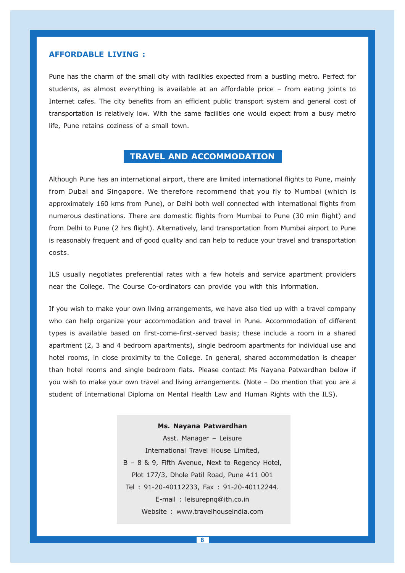#### AFFORDABLE LIVING :

Pune has the charm of the small city with facilities expected from a bustling metro. Perfect for students, as almost everything is available at an affordable price – from eating joints to Internet cafes. The city benefits from an efficient public transport system and general cost of transportation is relatively low. With the same facilities one would expect from a busy metro life, Pune retains coziness of a small town.

### TRAVEL AND ACCOMMODATION

Although Pune has an international airport, there are limited international flights to Pune, mainly from Dubai and Singapore. We therefore recommend that you fly to Mumbai (which is approximately 160 kms from Pune), or Delhi both well connected with international flights from numerous destinations. There are domestic flights from Mumbai to Pune (30 min flight) and from Delhi to Pune (2 hrs flight). Alternatively, land transportation from Mumbai airport to Pune is reasonably frequent and of good quality and can help to reduce your travel and transportation costs.

ILS usually negotiates preferential rates with a few hotels and service apartment providers near the College. The Course Co-ordinators can provide you with this information.

If you wish to make your own living arrangements, we have also tied up with a travel company who can help organize your accommodation and travel in Pune. Accommodation of different types is available based on first-come-first-served basis; these include a room in a shared apartment (2, 3 and 4 bedroom apartments), single bedroom apartments for individual use and hotel rooms, in close proximity to the College. In general, shared accommodation is cheaper than hotel rooms and single bedroom flats. Please contact Ms Nayana Patwardhan below if you wish to make your own travel and living arrangements. (Note – Do mention that you are a student of International Diploma on Mental Health Law and Human Rights with the ILS).

> Ms. Nayana Patwardhan Asst. Manager – Leisure International Travel House Limited, B – 8 & 9, Fifth Avenue, Next to Regency Hotel, Plot 177/3, Dhole Patil Road, Pune 411 001 Tel : 91-20-40112233, Fax : 91-20-40112244. E-mail : leisurepnq@ith.co.in Website : www.travelhouseindia.com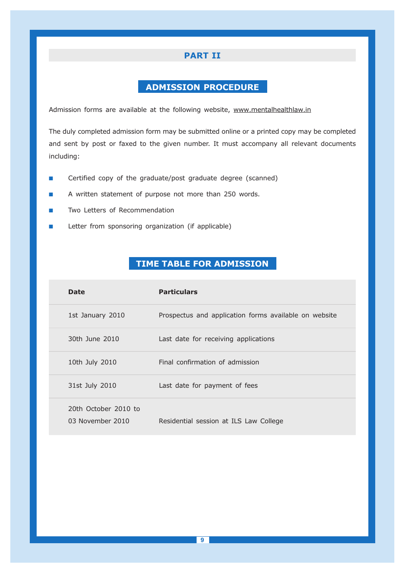### PART II

# ADMISSION PROCEDURE

Admission forms are available at the following website, www.mentalhealthlaw.in

The duly completed admission form may be submitted online or a printed copy may be completed and sent by post or faxed to the given number. It must accompany all relevant documents including:

- -Certified copy of the graduate/post graduate degree (scanned)
- -A written statement of purpose not more than 250 words.
- -Two Letters of Recommendation
- -Letter from sponsoring organization (if applicable)

# TIME TABLE FOR ADMISSION

| <b>Date</b>                              | <b>Particulars</b>                                    |
|------------------------------------------|-------------------------------------------------------|
| 1st January 2010                         | Prospectus and application forms available on website |
| 30th June 2010                           | Last date for receiving applications                  |
| 10th July 2010                           | Final confirmation of admission                       |
| 31st July 2010                           | Last date for payment of fees                         |
| 20th October 2010 to<br>03 November 2010 | Residential session at ILS Law College                |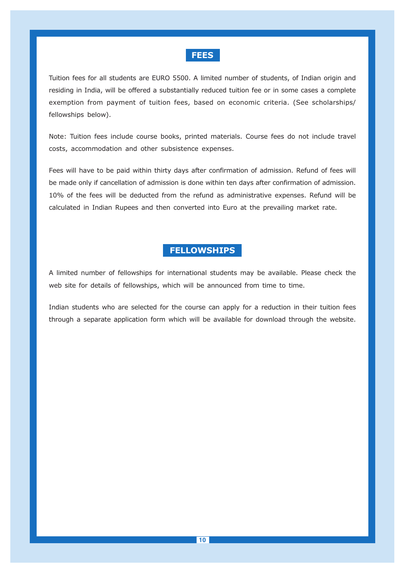### **FEES**

Tuition fees for all students are EURO 5500. A limited number of students, of Indian origin and residing in India, will be offered a substantially reduced tuition fee or in some cases a complete exemption from payment of tuition fees, based on economic criteria. (See scholarships/ fellowships below).

Note: Tuition fees include course books, printed materials. Course fees do not include travel costs, accommodation and other subsistence expenses.

Fees will have to be paid within thirty days after confirmation of admission. Refund of fees will be made only if cancellation of admission is done within ten days after confirmation of admission. 10% of the fees will be deducted from the refund as administrative expenses. Refund will be calculated in Indian Rupees and then converted into Euro at the prevailing market rate.

# **FELLOWSHIPS**

A limited number of fellowships for international students may be available. Please check the web site for details of fellowships, which will be announced from time to time.

Indian students who are selected for the course can apply for a reduction in their tuition fees through a separate application form which will be available for download through the website.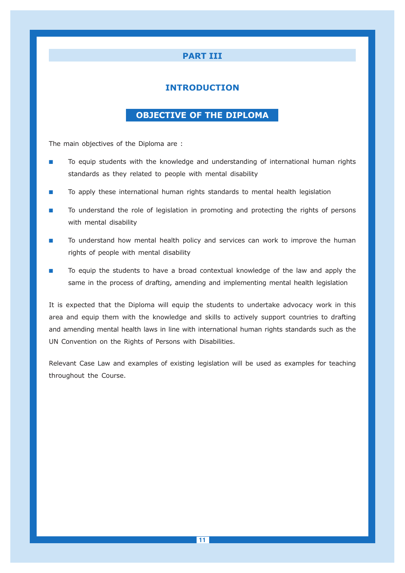### PART III

### INTRODUCTION

# OBJECTIVE OF THE DIPLOMA

The main objectives of the Diploma are :

- - To equip students with the knowledge and understanding of international human rights standards as they related to people with mental disability
- -To apply these international human rights standards to mental health legislation
- - To understand the role of legislation in promoting and protecting the rights of persons with mental disability
- - To understand how mental health policy and services can work to improve the human rights of people with mental disability
- - To equip the students to have a broad contextual knowledge of the law and apply the same in the process of drafting, amending and implementing mental health legislation

It is expected that the Diploma will equip the students to undertake advocacy work in this area and equip them with the knowledge and skills to actively support countries to drafting and amending mental health laws in line with international human rights standards such as the UN Convention on the Rights of Persons with Disabilities.

Relevant Case Law and examples of existing legislation will be used as examples for teaching throughout the Course.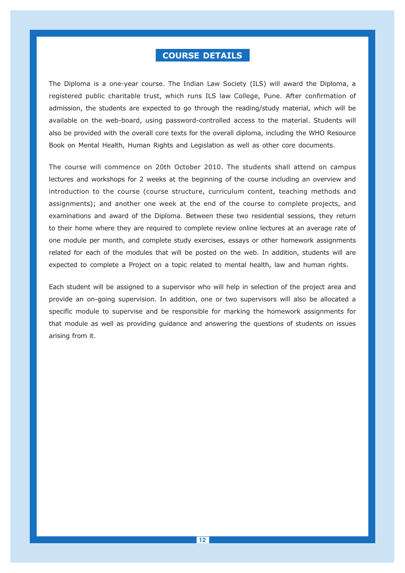# COURSE DETAILS

The Diploma is a one-year course. The Indian Law Society (ILS) will award the Diploma, a registered public charitable trust, which runs ILS law College, Pune. After confirmation of admission, the students are expected to go through the reading/study material, which will be available on the web-board, using password-controlled access to the material. Students will also be provided with the overall core texts for the overall diploma, including the WHO Resource Book on Mental Health, Human Rights and Legislation as well as other core documents.

The course will commence on 20th October 2010. The students shall attend on campus lectures and workshops for 2 weeks at the beginning of the course including an overview and introduction to the course (course structure, curriculum content, teaching methods and assignments); and another one week at the end of the course to complete projects, and examinations and award of the Diploma. Between these two residential sessions, they return to their home where they are required to complete review online lectures at an average rate of one module per month, and complete study exercises, essays or other homework assignments related for each of the modules that will be posted on the web. In addition, students will are expected to complete a Project on a topic related to mental health, law and human rights.

Each student will be assigned to a supervisor who will help in selection of the project area and provide an on-going supervision. In addition, one or two supervisors will also be allocated a specific module to supervise and be responsible for marking the homework assignments for that module as well as providing guidance and answering the questions of students on issues arising from it.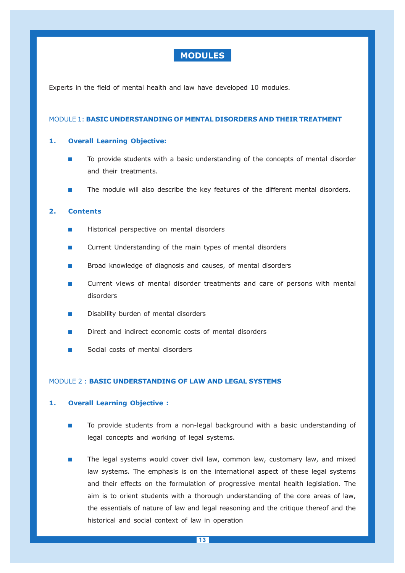### MODULES

Experts in the field of mental health and law have developed 10 modules.

#### MODULE 1: BASIC UNDERSTANDING OF MENTAL DISORDERS AND THEIR TREATMENT

#### 1. Overall Learning Objective:

- - To provide students with a basic understanding of the concepts of mental disorder and their treatments.
- -The module will also describe the key features of the different mental disorders.

#### 2. Contents

- -Historical perspective on mental disorders
- -Current Understanding of the main types of mental disorders
- -Broad knowledge of diagnosis and causes, of mental disorders
- - Current views of mental disorder treatments and care of persons with mental disorders
- -Disability burden of mental disorders
- -Direct and indirect economic costs of mental disorders
- -Social costs of mental disorders

#### MODULE 2 : BASIC UNDERSTANDING OF LAW AND LEGAL SYSTEMS

#### 1. Overall Learning Objective :

- - To provide students from a non-legal background with a basic understanding of legal concepts and working of legal systems.
- - The legal systems would cover civil law, common law, customary law, and mixed law systems. The emphasis is on the international aspect of these legal systems and their effects on the formulation of progressive mental health legislation. The aim is to orient students with a thorough understanding of the core areas of law, the essentials of nature of law and legal reasoning and the critique thereof and the historical and social context of law in operation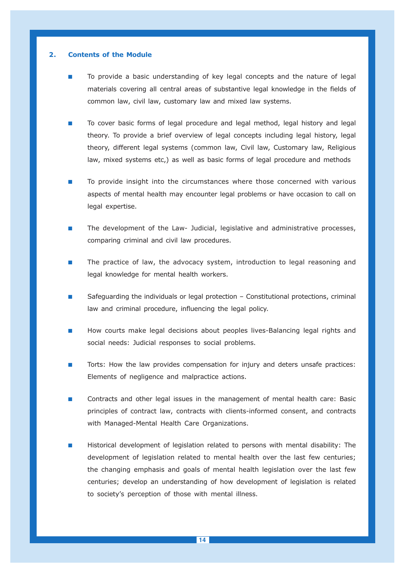#### 2. Contents of the Module

- - To provide a basic understanding of key legal concepts and the nature of legal materials covering all central areas of substantive legal knowledge in the fields of common law, civil law, customary law and mixed law systems.
- - To cover basic forms of legal procedure and legal method, legal history and legal theory. To provide a brief overview of legal concepts including legal history, legal theory, different legal systems (common law, Civil law, Customary law, Religious law, mixed systems etc,) as well as basic forms of legal procedure and methods
- - To provide insight into the circumstances where those concerned with various aspects of mental health may encounter legal problems or have occasion to call on legal expertise.
- - The development of the Law- Judicial, legislative and administrative processes, comparing criminal and civil law procedures.
- - The practice of law, the advocacy system, introduction to legal reasoning and legal knowledge for mental health workers.
- - Safeguarding the individuals or legal protection – Constitutional protections, criminal law and criminal procedure, influencing the legal policy.
- - How courts make legal decisions about peoples lives-Balancing legal rights and social needs: Judicial responses to social problems.
- - Torts: How the law provides compensation for injury and deters unsafe practices: Elements of negligence and malpractice actions.
- - Contracts and other legal issues in the management of mental health care: Basic principles of contract law, contracts with clients-informed consent, and contracts with Managed-Mental Health Care Organizations.
- - Historical development of legislation related to persons with mental disability: The development of legislation related to mental health over the last few centuries; the changing emphasis and goals of mental health legislation over the last few centuries; develop an understanding of how development of legislation is related to society's perception of those with mental illness.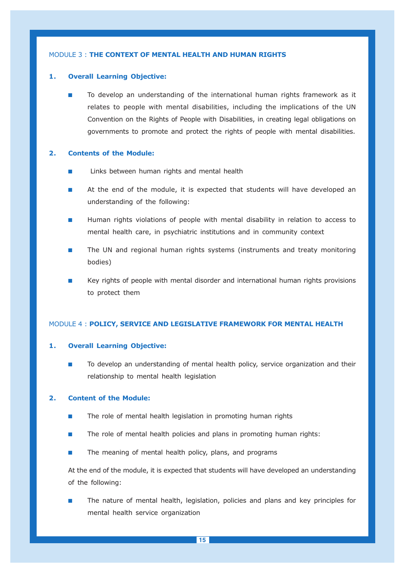#### MODULE 3 : THE CONTEXT OF MENTAL HEALTH AND HUMAN RIGHTS

#### 1. Overall Learning Objective:

- To develop an understanding of the international human rights framework as it relates to people with mental disabilities, including the implications of the UN Convention on the Rights of People with Disabilities, in creating legal obligations on governments to promote and protect the rights of people with mental disabilities.

#### 2. Contents of the Module:

- -Links between human rights and mental health
- - At the end of the module, it is expected that students will have developed an understanding of the following:
- - Human rights violations of people with mental disability in relation to access to mental health care, in psychiatric institutions and in community context
- - The UN and regional human rights systems (instruments and treaty monitoring bodies)
- - Key rights of people with mental disorder and international human rights provisions to protect them

#### MODULE 4 : POLICY, SERVICE AND LEGISLATIVE FRAMEWORK FOR MENTAL HEALTH

#### 1. Overall Learning Objective:

- To develop an understanding of mental health policy, service organization and their relationship to mental health legislation

#### 2. Content of the Module:

- -The role of mental health legislation in promoting human rights
- -The role of mental health policies and plans in promoting human rights:
- -The meaning of mental health policy, plans, and programs

At the end of the module, it is expected that students will have developed an understanding of the following:

- The nature of mental health, legislation, policies and plans and key principles for mental health service organization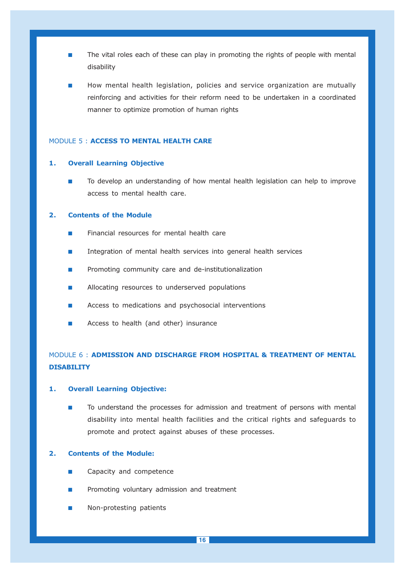- - The vital roles each of these can play in promoting the rights of people with mental disability
- - How mental health legislation, policies and service organization are mutually reinforcing and activities for their reform need to be undertaken in a coordinated manner to optimize promotion of human rights

#### MODULE 5 : ACCESS TO MENTAL HEALTH CARE

#### 1. Overall Learning Objective

- To develop an understanding of how mental health legislation can help to improve access to mental health care.

#### 2. Contents of the Module

- -Financial resources for mental health care
- -Integration of mental health services into general health services
- -Promoting community care and de-institutionalization
- -Allocating resources to underserved populations
- -Access to medications and psychosocial interventions
- -Access to health (and other) insurance

# MODULE 6 : ADMISSION AND DISCHARGE FROM HOSPITAL & TREATMENT OF MENTAL **DISABILITY**

#### 1. Overall Learning Objective:

- To understand the processes for admission and treatment of persons with mental disability into mental health facilities and the critical rights and safeguards to promote and protect against abuses of these processes.

### 2. Contents of the Module:

- -Capacity and competence
- -Promoting voluntary admission and treatment
- -Non-protesting patients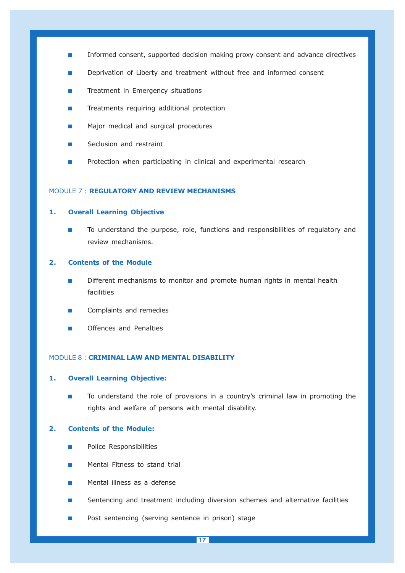- -Informed consent, supported decision making proxy consent and advance directives
- -Deprivation of Liberty and treatment without free and informed consent
- -Treatment in Emergency situations
- -Treatments requiring additional protection
- -Major medical and surgical procedures
- -Seclusion and restraint
- -Protection when participating in clinical and experimental research

#### MODULE 7 : REGULATORY AND REVIEW MECHANISMS

#### 1. Overall Learning Objective

- To understand the purpose, role, functions and responsibilities of regulatory and review mechanisms.

#### 2. Contents of the Module

- - Different mechanisms to monitor and promote human rights in mental health facilities
- -Complaints and remedies
- -Offences and Penalties

#### MODULE 8 : CRIMINAL LAW AND MENTAL DISABILITY

#### 1. Overall Learning Objective:

- To understand the role of provisions in a country's criminal law in promoting the rights and welfare of persons with mental disability.

#### 2. Contents of the Module:

- -Police Responsibilities
- -Mental Fitness to stand trial
- -Mental illness as a defense
- -Sentencing and treatment including diversion schemes and alternative facilities
- -Post sentencing (serving sentence in prison) stage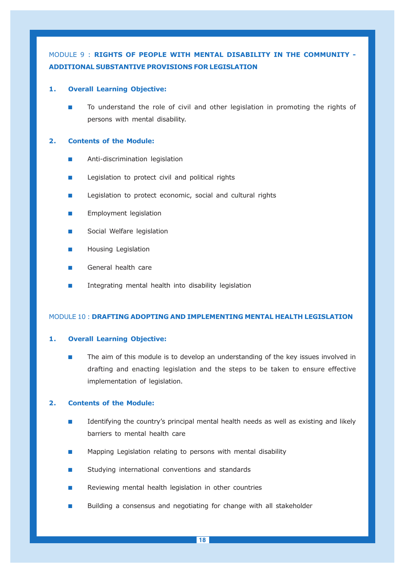# MODULE 9 : RIGHTS OF PEOPLE WITH MENTAL DISABILITY IN THE COMMUNITY - ADDITIONAL SUBSTANTIVE PROVISIONS FOR LEGISLATION

#### 1. Overall Learning Objective:

- To understand the role of civil and other legislation in promoting the rights of persons with mental disability.

#### 2. Contents of the Module:

- -Anti-discrimination legislation
- -Legislation to protect civil and political rights
- -Legislation to protect economic, social and cultural rights
- -Employment legislation
- -Social Welfare legislation
- -Housing Legislation
- -General health care
- -Integrating mental health into disability legislation

#### MODULE 10 : DRAFTING ADOPTING AND IMPLEMENTING MENTAL HEALTH LEGISLATION

#### 1. Overall Learning Objective:

- The aim of this module is to develop an understanding of the key issues involved in drafting and enacting legislation and the steps to be taken to ensure effective implementation of legislation.

#### 2. Contents of the Module:

- - Identifying the country's principal mental health needs as well as existing and likely barriers to mental health care
- -Mapping Legislation relating to persons with mental disability
- -Studying international conventions and standards
- -Reviewing mental health legislation in other countries
- -Building a consensus and negotiating for change with all stakeholder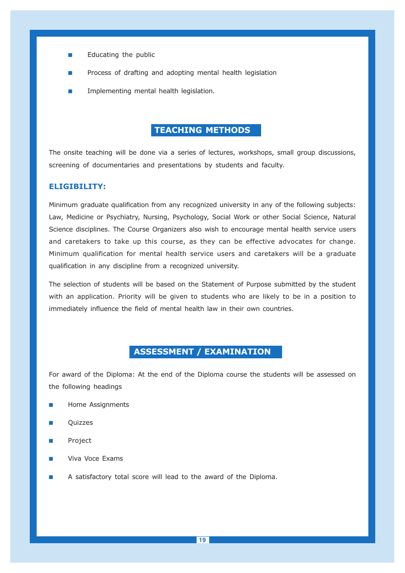- -Educating the public
- -Process of drafting and adopting mental health legislation
- -Implementing mental health legislation.

# TEACHING METHODS

The onsite teaching will be done via a series of lectures, workshops, small group discussions, screening of documentaries and presentations by students and faculty.

### ELIGIBILITY:

Minimum graduate qualification from any recognized university in any of the following subjects: Law, Medicine or Psychiatry, Nursing, Psychology, Social Work or other Social Science, Natural Science disciplines. The Course Organizers also wish to encourage mental health service users and caretakers to take up this course, as they can be effective advocates for change. Minimum qualification for mental health service users and caretakers will be a graduate qualification in any discipline from a recognized university.

The selection of students will be based on the Statement of Purpose submitted by the student with an application. Priority will be given to students who are likely to be in a position to immediately influence the field of mental health law in their own countries.

### ASSESSMENT / EXAMINATION

For award of the Diploma: At the end of the Diploma course the students will be assessed on the following headings

- -Home Assignments
- -Quizzes
- -Project
- -Viva Voce Exams
- -A satisfactory total score will lead to the award of the Diploma.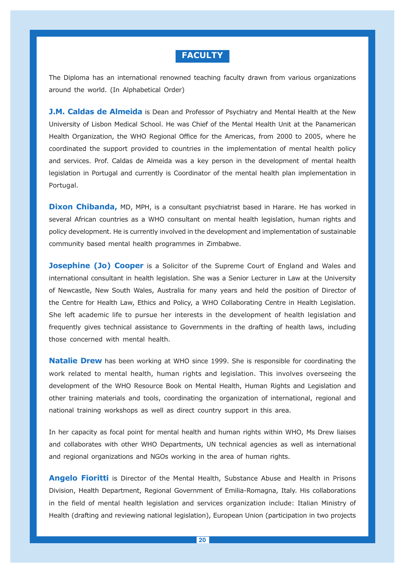## **FACULTY**

The Diploma has an international renowned teaching faculty drawn from various organizations around the world. (In Alphabetical Order)

**J.M. Caldas de Almeida** is Dean and Professor of Psychiatry and Mental Health at the New University of Lisbon Medical School. He was Chief of the Mental Health Unit at the Panamerican Health Organization, the WHO Regional Office for the Americas, from 2000 to 2005, where he coordinated the support provided to countries in the implementation of mental health policy and services. Prof. Caldas de Almeida was a key person in the development of mental health legislation in Portugal and currently is Coordinator of the mental health plan implementation in Portugal.

**Dixon Chibanda, MD, MPH, is a consultant psychiatrist based in Harare. He has worked in** several African countries as a WHO consultant on mental health legislation, human rights and policy development. He is currently involved in the development and implementation of sustainable community based mental health programmes in Zimbabwe.

**Josephine (Jo) Cooper** is a Solicitor of the Supreme Court of England and Wales and international consultant in health legislation. She was a Senior Lecturer in Law at the University of Newcastle, New South Wales, Australia for many years and held the position of Director of the Centre for Health Law, Ethics and Policy, a WHO Collaborating Centre in Health Legislation. She left academic life to pursue her interests in the development of health legislation and frequently gives technical assistance to Governments in the drafting of health laws, including those concerned with mental health.

**Natalie Drew** has been working at WHO since 1999. She is responsible for coordinating the work related to mental health, human rights and legislation. This involves overseeing the development of the WHO Resource Book on Mental Health, Human Rights and Legislation and other training materials and tools, coordinating the organization of international, regional and national training workshops as well as direct country support in this area.

In her capacity as focal point for mental health and human rights within WHO, Ms Drew liaises and collaborates with other WHO Departments, UN technical agencies as well as international and regional organizations and NGOs working in the area of human rights.

Angelo Fioritti is Director of the Mental Health, Substance Abuse and Health in Prisons Division, Health Department, Regional Government of Emilia-Romagna, Italy. His collaborations in the field of mental health legislation and services organization include: Italian Ministry of Health (drafting and reviewing national legislation), European Union (participation in two projects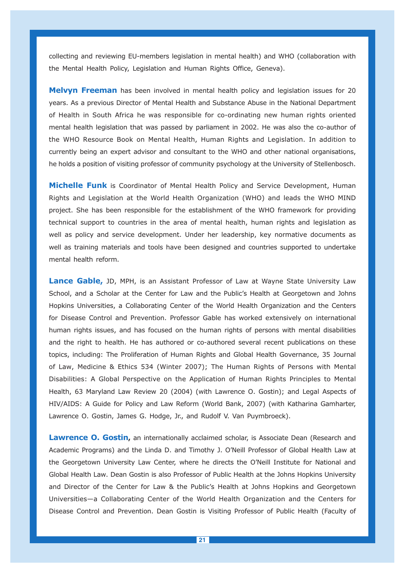collecting and reviewing EU-members legislation in mental health) and WHO (collaboration with the Mental Health Policy, Legislation and Human Rights Office, Geneva).

Melvyn Freeman has been involved in mental health policy and legislation issues for 20 years. As a previous Director of Mental Health and Substance Abuse in the National Department of Health in South Africa he was responsible for co-ordinating new human rights oriented mental health legislation that was passed by parliament in 2002. He was also the co-author of the WHO Resource Book on Mental Health, Human Rights and Legislation. In addition to currently being an expert advisor and consultant to the WHO and other national organisations, he holds a position of visiting professor of community psychology at the University of Stellenbosch.

**Michelle Funk** is Coordinator of Mental Health Policy and Service Development, Human Rights and Legislation at the World Health Organization (WHO) and leads the WHO MIND project. She has been responsible for the establishment of the WHO framework for providing technical support to countries in the area of mental health, human rights and legislation as well as policy and service development. Under her leadership, key normative documents as well as training materials and tools have been designed and countries supported to undertake mental health reform.

Lance Gable, JD, MPH, is an Assistant Professor of Law at Wayne State University Law School, and a Scholar at the Center for Law and the Public's Health at Georgetown and Johns Hopkins Universities, a Collaborating Center of the World Health Organization and the Centers for Disease Control and Prevention. Professor Gable has worked extensively on international human rights issues, and has focused on the human rights of persons with mental disabilities and the right to health. He has authored or co-authored several recent publications on these topics, including: The Proliferation of Human Rights and Global Health Governance, 35 Journal of Law, Medicine & Ethics 534 (Winter 2007); The Human Rights of Persons with Mental Disabilities: A Global Perspective on the Application of Human Rights Principles to Mental Health, 63 Maryland Law Review 20 (2004) (with Lawrence O. Gostin); and Legal Aspects of HIV/AIDS: A Guide for Policy and Law Reform (World Bank, 2007) (with Katharina Gamharter, Lawrence O. Gostin, James G. Hodge, Jr., and Rudolf V. Van Puymbroeck).

Lawrence O. Gostin, an internationally acclaimed scholar, is Associate Dean (Research and Academic Programs) and the Linda D. and Timothy J. O'Neill Professor of Global Health Law at the Georgetown University Law Center, where he directs the O'Neill Institute for National and Global Health Law. Dean Gostin is also Professor of Public Health at the Johns Hopkins University and Director of the Center for Law & the Public's Health at Johns Hopkins and Georgetown Universities—a Collaborating Center of the World Health Organization and the Centers for Disease Control and Prevention. Dean Gostin is Visiting Professor of Public Health (Faculty of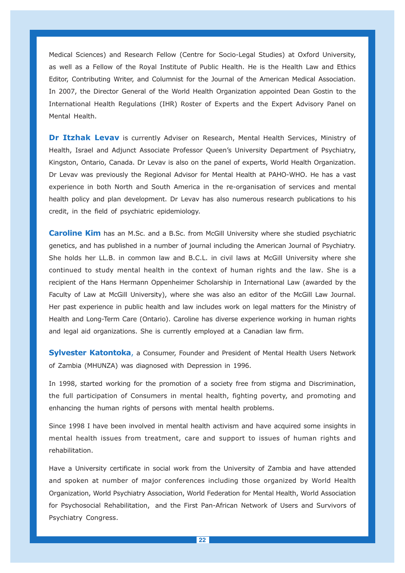Medical Sciences) and Research Fellow (Centre for Socio-Legal Studies) at Oxford University, as well as a Fellow of the Royal Institute of Public Health. He is the Health Law and Ethics Editor, Contributing Writer, and Columnist for the Journal of the American Medical Association. In 2007, the Director General of the World Health Organization appointed Dean Gostin to the International Health Regulations (IHR) Roster of Experts and the Expert Advisory Panel on Mental Health.

Dr Itzhak Levav is currently Adviser on Research, Mental Health Services, Ministry of Health, Israel and Adjunct Associate Professor Queen's University Department of Psychiatry, Kingston, Ontario, Canada. Dr Levav is also on the panel of experts, World Health Organization. Dr Levav was previously the Regional Advisor for Mental Health at PAHO-WHO. He has a vast experience in both North and South America in the re-organisation of services and mental health policy and plan development. Dr Levav has also numerous research publications to his credit, in the field of psychiatric epidemiology.

**Caroline Kim** has an M.Sc. and a B.Sc. from McGill University where she studied psychiatric genetics, and has published in a number of journal including the American Journal of Psychiatry. She holds her LL.B. in common law and B.C.L. in civil laws at McGill University where she continued to study mental health in the context of human rights and the law. She is a recipient of the Hans Hermann Oppenheimer Scholarship in International Law (awarded by the Faculty of Law at McGill University), where she was also an editor of the McGill Law Journal. Her past experience in public health and law includes work on legal matters for the Ministry of Health and Long-Term Care (Ontario). Caroline has diverse experience working in human rights and legal aid organizations. She is currently employed at a Canadian law firm.

**Sylvester Katontoka**, a Consumer, Founder and President of Mental Health Users Network of Zambia (MHUNZA) was diagnosed with Depression in 1996.

In 1998, started working for the promotion of a society free from stigma and Discrimination, the full participation of Consumers in mental health, fighting poverty, and promoting and enhancing the human rights of persons with mental health problems.

Since 1998 I have been involved in mental health activism and have acquired some insights in mental health issues from treatment, care and support to issues of human rights and rehabilitation.

Have a University certificate in social work from the University of Zambia and have attended and spoken at number of major conferences including those organized by World Health Organization, World Psychiatry Association, World Federation for Mental Health, World Association for Psychosocial Rehabilitation, and the First Pan-African Network of Users and Survivors of Psychiatry Congress.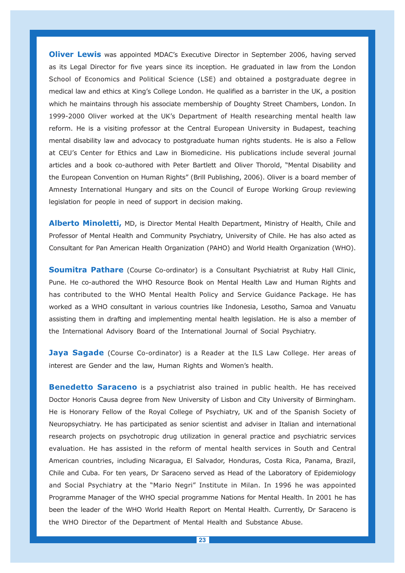**Oliver Lewis** was appointed MDAC's Executive Director in September 2006, having served as its Legal Director for five years since its inception. He graduated in law from the London School of Economics and Political Science (LSE) and obtained a postgraduate degree in medical law and ethics at King's College London. He qualified as a barrister in the UK, a position which he maintains through his associate membership of Doughty Street Chambers, London. In 1999-2000 Oliver worked at the UK's Department of Health researching mental health law reform. He is a visiting professor at the Central European University in Budapest, teaching mental disability law and advocacy to postgraduate human rights students. He is also a Fellow at CEU's Center for Ethics and Law in Biomedicine. His publications include several journal articles and a book co-authored with Peter Bartlett and Oliver Thorold, "Mental Disability and the European Convention on Human Rights" (Brill Publishing, 2006). Oliver is a board member of Amnesty International Hungary and sits on the Council of Europe Working Group reviewing legislation for people in need of support in decision making.

Alberto Minoletti, MD, is Director Mental Health Department, Ministry of Health, Chile and Professor of Mental Health and Community Psychiatry, University of Chile. He has also acted as Consultant for Pan American Health Organization (PAHO) and World Health Organization (WHO).

**Soumitra Pathare** (Course Co-ordinator) is a Consultant Psychiatrist at Ruby Hall Clinic, Pune. He co-authored the WHO Resource Book on Mental Health Law and Human Rights and has contributed to the WHO Mental Health Policy and Service Guidance Package. He has worked as a WHO consultant in various countries like Indonesia, Lesotho, Samoa and Vanuatu assisting them in drafting and implementing mental health legislation. He is also a member of the International Advisory Board of the International Journal of Social Psychiatry.

Jaya Sagade (Course Co-ordinator) is a Reader at the ILS Law College. Her areas of interest are Gender and the law, Human Rights and Women's health.

Benedetto Saraceno is a psychiatrist also trained in public health. He has received Doctor Honoris Causa degree from New University of Lisbon and City University of Birmingham. He is Honorary Fellow of the Royal College of Psychiatry, UK and of the Spanish Society of Neuropsychiatry. He has participated as senior scientist and adviser in Italian and international research projects on psychotropic drug utilization in general practice and psychiatric services evaluation. He has assisted in the reform of mental health services in South and Central American countries, including Nicaragua, El Salvador, Honduras, Costa Rica, Panama, Brazil, Chile and Cuba. For ten years, Dr Saraceno served as Head of the Laboratory of Epidemiology and Social Psychiatry at the "Mario Negri" Institute in Milan. In 1996 he was appointed Programme Manager of the WHO special programme Nations for Mental Health. In 2001 he has been the leader of the WHO World Health Report on Mental Health. Currently, Dr Saraceno is the WHO Director of the Department of Mental Health and Substance Abuse.